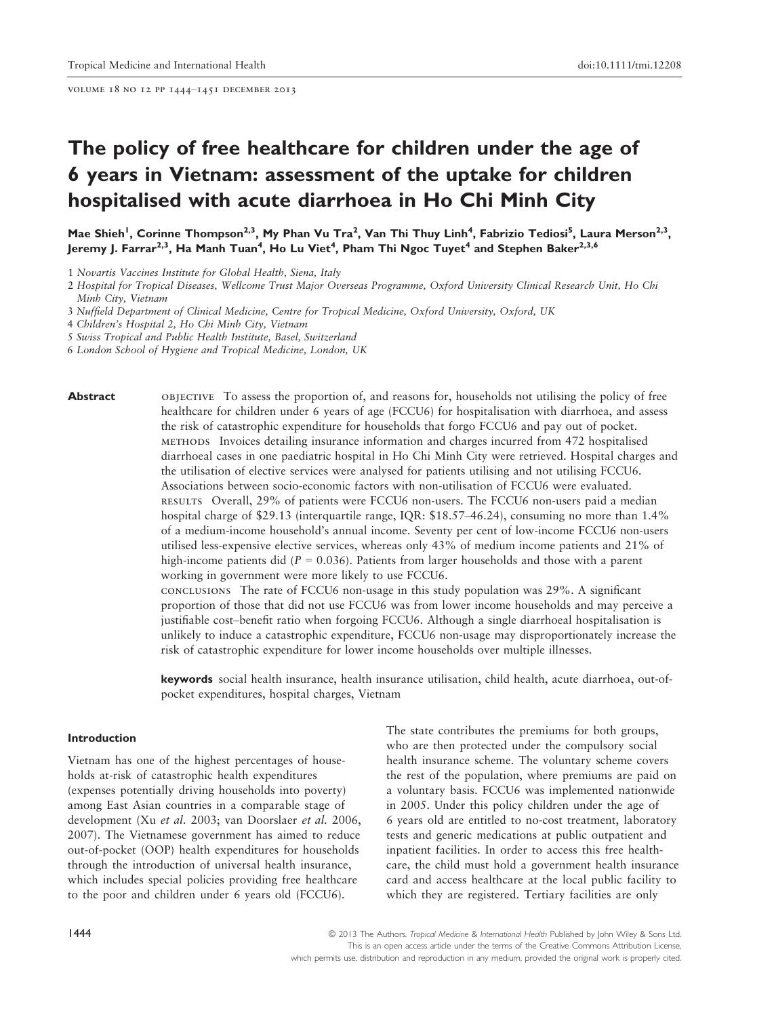volume 18 no 12 pp 1444–1451 december 2013

# The policy of free healthcare for children under the age of 6 years in Vietnam: assessment of the uptake for children hospitalised with acute diarrhoea in Ho Chi Minh City

Mae Shieh<sup>1</sup>, Corinne Thompson<sup>2,3</sup>, My Phan Vu Tra<sup>2</sup>, Van Thi Thuy Linh<sup>4</sup>, Fabrizio Tediosi<sup>5</sup>, Laura Merson<sup>2,3</sup>, Jeremy J. Farrar<sup>2,3</sup>, Ha Manh Tuan<sup>4</sup>, Ho Lu Viet<sup>4</sup>, Pham Thi Ngoc Tuyet<sup>4</sup> and Stephen Baker<sup>2,3,6</sup>

4 Children's Hospital 2, Ho Chi Minh City, Vietnam

5 Swiss Tropical and Public Health Institute, Basel, Switzerland

6 London School of Hygiene and Tropical Medicine, London, UK

Abstract objective To assess the proportion of, and reasons for, households not utilising the policy of free healthcare for children under 6 years of age (FCCU6) for hospitalisation with diarrhoea, and assess the risk of catastrophic expenditure for households that forgo FCCU6 and pay out of pocket. methods Invoices detailing insurance information and charges incurred from 472 hospitalised diarrhoeal cases in one paediatric hospital in Ho Chi Minh City were retrieved. Hospital charges and the utilisation of elective services were analysed for patients utilising and not utilising FCCU6. Associations between socio-economic factors with non-utilisation of FCCU6 were evaluated. results Overall, 29% of patients were FCCU6 non-users. The FCCU6 non-users paid a median hospital charge of \$29.13 (interquartile range, IQR: \$18.57–46.24), consuming no more than 1.4% of a medium-income household's annual income. Seventy per cent of low-income FCCU6 non-users utilised less-expensive elective services, whereas only 43% of medium income patients and 21% of high-income patients did ( $P = 0.036$ ). Patients from larger households and those with a parent working in government were more likely to use FCCU6.

> conclusions The rate of FCCU6 non-usage in this study population was 29%. A significant proportion of those that did not use FCCU6 was from lower income households and may perceive a justifiable cost–benefit ratio when forgoing FCCU6. Although a single diarrhoeal hospitalisation is unlikely to induce a catastrophic expenditure, FCCU6 non-usage may disproportionately increase the risk of catastrophic expenditure for lower income households over multiple illnesses.

> keywords social health insurance, health insurance utilisation, child health, acute diarrhoea, out-ofpocket expenditures, hospital charges, Vietnam

#### Introduction

Vietnam has one of the highest percentages of households at-risk of catastrophic health expenditures (expenses potentially driving households into poverty) among East Asian countries in a comparable stage of development (Xu et al. 2003; van Doorslaer et al. 2006, 2007). The Vietnamese government has aimed to reduce out-of-pocket (OOP) health expenditures for households through the introduction of universal health insurance, which includes special policies providing free healthcare to the poor and children under 6 years old (FCCU6).

The state contributes the premiums for both groups, who are then protected under the compulsory social health insurance scheme. The voluntary scheme covers the rest of the population, where premiums are paid on a voluntary basis. FCCU6 was implemented nationwide in 2005. Under this policy children under the age of 6 years old are entitled to no-cost treatment, laboratory tests and generic medications at public outpatient and inpatient facilities. In order to access this free healthcare, the child must hold a government health insurance card and access healthcare at the local public facility to which they are registered. Tertiary facilities are only

<sup>1</sup> Novartis Vaccines Institute for Global Health, Siena, Italy

<sup>2</sup> Hospital for Tropical Diseases, Wellcome Trust Major Overseas Programme, Oxford University Clinical Research Unit, Ho Chi Minh City, Vietnam

<sup>3</sup> Nuffield Department of Clinical Medicine, Centre for Tropical Medicine, Oxford University, Oxford, UK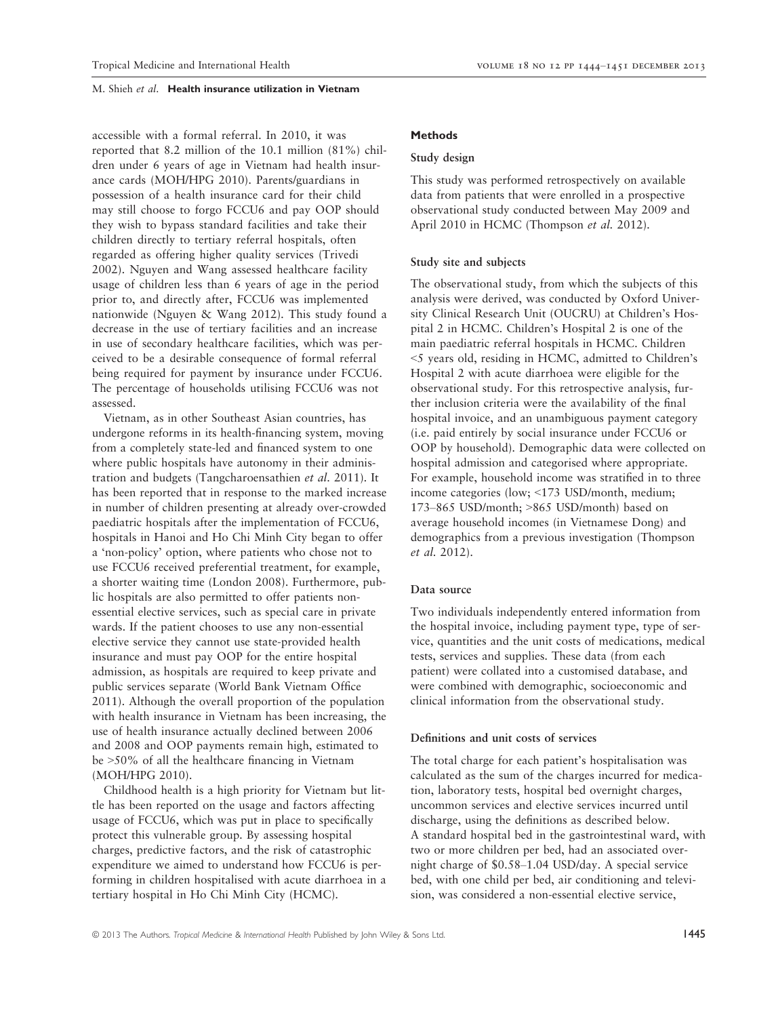accessible with a formal referral. In 2010, it was reported that 8.2 million of the 10.1 million (81%) children under 6 years of age in Vietnam had health insurance cards (MOH/HPG 2010). Parents/guardians in possession of a health insurance card for their child may still choose to forgo FCCU6 and pay OOP should they wish to bypass standard facilities and take their children directly to tertiary referral hospitals, often regarded as offering higher quality services (Trivedi 2002). Nguyen and Wang assessed healthcare facility usage of children less than 6 years of age in the period prior to, and directly after, FCCU6 was implemented nationwide (Nguyen & Wang 2012). This study found a decrease in the use of tertiary facilities and an increase in use of secondary healthcare facilities, which was perceived to be a desirable consequence of formal referral being required for payment by insurance under FCCU6. The percentage of households utilising FCCU6 was not assessed.

Vietnam, as in other Southeast Asian countries, has undergone reforms in its health-financing system, moving from a completely state-led and financed system to one where public hospitals have autonomy in their administration and budgets (Tangcharoensathien et al. 2011). It has been reported that in response to the marked increase in number of children presenting at already over-crowded paediatric hospitals after the implementation of FCCU6, hospitals in Hanoi and Ho Chi Minh City began to offer a 'non-policy' option, where patients who chose not to use FCCU6 received preferential treatment, for example, a shorter waiting time (London 2008). Furthermore, public hospitals are also permitted to offer patients nonessential elective services, such as special care in private wards. If the patient chooses to use any non-essential elective service they cannot use state-provided health insurance and must pay OOP for the entire hospital admission, as hospitals are required to keep private and public services separate (World Bank Vietnam Office 2011). Although the overall proportion of the population with health insurance in Vietnam has been increasing, the use of health insurance actually declined between 2006 and 2008 and OOP payments remain high, estimated to be >50% of all the healthcare financing in Vietnam (MOH/HPG 2010).

Childhood health is a high priority for Vietnam but little has been reported on the usage and factors affecting usage of FCCU6, which was put in place to specifically protect this vulnerable group. By assessing hospital charges, predictive factors, and the risk of catastrophic expenditure we aimed to understand how FCCU6 is performing in children hospitalised with acute diarrhoea in a tertiary hospital in Ho Chi Minh City (HCMC).

# Methods

# Study design

This study was performed retrospectively on available data from patients that were enrolled in a prospective observational study conducted between May 2009 and April 2010 in HCMC (Thompson et al. 2012).

# Study site and subjects

The observational study, from which the subjects of this analysis were derived, was conducted by Oxford University Clinical Research Unit (OUCRU) at Children's Hospital 2 in HCMC. Children's Hospital 2 is one of the main paediatric referral hospitals in HCMC. Children <5 years old, residing in HCMC, admitted to Children's Hospital 2 with acute diarrhoea were eligible for the observational study. For this retrospective analysis, further inclusion criteria were the availability of the final hospital invoice, and an unambiguous payment category (i.e. paid entirely by social insurance under FCCU6 or OOP by household). Demographic data were collected on hospital admission and categorised where appropriate. For example, household income was stratified in to three income categories (low; <173 USD/month, medium; 173–865 USD/month; >865 USD/month) based on average household incomes (in Vietnamese Dong) and demographics from a previous investigation (Thompson et al. 2012).

# Data source

Two individuals independently entered information from the hospital invoice, including payment type, type of service, quantities and the unit costs of medications, medical tests, services and supplies. These data (from each patient) were collated into a customised database, and were combined with demographic, socioeconomic and clinical information from the observational study.

#### Definitions and unit costs of services

The total charge for each patient's hospitalisation was calculated as the sum of the charges incurred for medication, laboratory tests, hospital bed overnight charges, uncommon services and elective services incurred until discharge, using the definitions as described below. A standard hospital bed in the gastrointestinal ward, with two or more children per bed, had an associated overnight charge of \$0.58–1.04 USD/day. A special service bed, with one child per bed, air conditioning and television, was considered a non-essential elective service,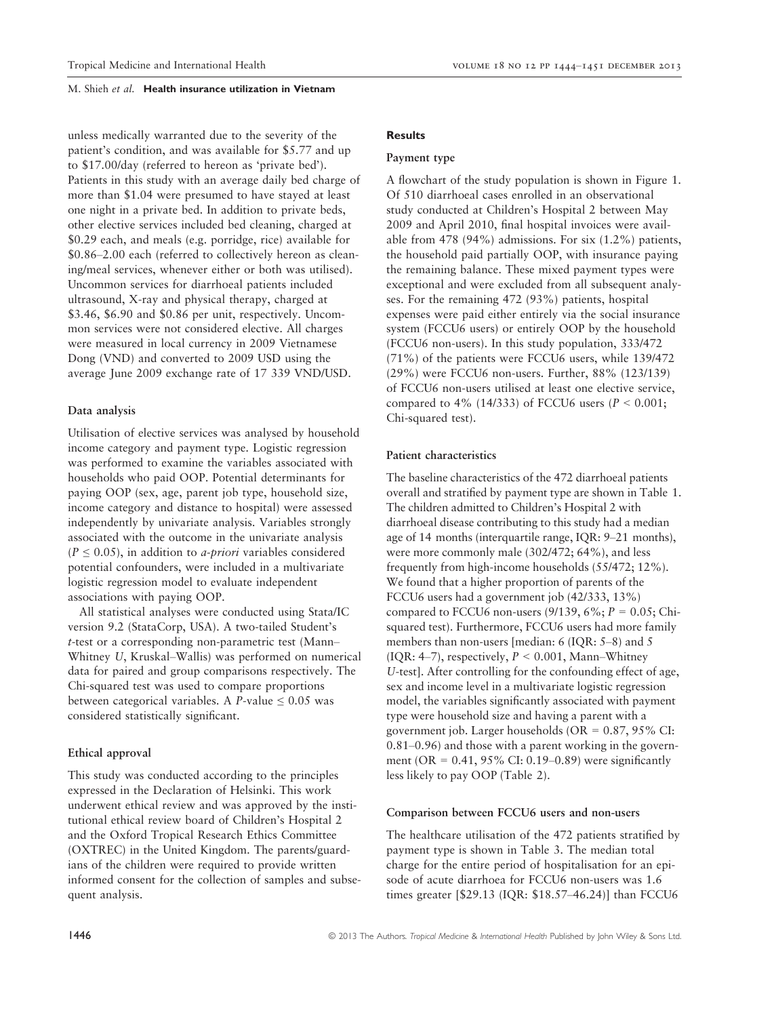unless medically warranted due to the severity of the patient's condition, and was available for \$5.77 and up to \$17.00/day (referred to hereon as 'private bed'). Patients in this study with an average daily bed charge of more than \$1.04 were presumed to have stayed at least one night in a private bed. In addition to private beds, other elective services included bed cleaning, charged at \$0.29 each, and meals (e.g. porridge, rice) available for \$0.86–2.00 each (referred to collectively hereon as cleaning/meal services, whenever either or both was utilised). Uncommon services for diarrhoeal patients included ultrasound, X-ray and physical therapy, charged at \$3.46, \$6.90 and \$0.86 per unit, respectively. Uncommon services were not considered elective. All charges were measured in local currency in 2009 Vietnamese Dong (VND) and converted to 2009 USD using the average June 2009 exchange rate of 17 339 VND/USD.

# Data analysis

Utilisation of elective services was analysed by household income category and payment type. Logistic regression was performed to examine the variables associated with households who paid OOP. Potential determinants for paying OOP (sex, age, parent job type, household size, income category and distance to hospital) were assessed independently by univariate analysis. Variables strongly associated with the outcome in the univariate analysis  $(P \le 0.05)$ , in addition to *a-priori* variables considered potential confounders, were included in a multivariate logistic regression model to evaluate independent associations with paying OOP.

All statistical analyses were conducted using Stata/IC version 9.2 (StataCorp, USA). A two-tailed Student's t-test or a corresponding non-parametric test (Mann– Whitney U, Kruskal–Wallis) was performed on numerical data for paired and group comparisons respectively. The Chi-squared test was used to compare proportions between categorical variables. A P-value  $\leq 0.05$  was considered statistically significant.

# Ethical approval

This study was conducted according to the principles expressed in the Declaration of Helsinki. This work underwent ethical review and was approved by the institutional ethical review board of Children's Hospital 2 and the Oxford Tropical Research Ethics Committee (OXTREC) in the United Kingdom. The parents/guardians of the children were required to provide written informed consent for the collection of samples and subsequent analysis.

# **Results**

#### Payment type

A flowchart of the study population is shown in Figure 1. Of 510 diarrhoeal cases enrolled in an observational study conducted at Children's Hospital 2 between May 2009 and April 2010, final hospital invoices were available from 478 (94%) admissions. For six (1.2%) patients, the household paid partially OOP, with insurance paying the remaining balance. These mixed payment types were exceptional and were excluded from all subsequent analyses. For the remaining 472 (93%) patients, hospital expenses were paid either entirely via the social insurance system (FCCU6 users) or entirely OOP by the household (FCCU6 non-users). In this study population, 333/472 (71%) of the patients were FCCU6 users, while 139/472 (29%) were FCCU6 non-users. Further, 88% (123/139) of FCCU6 non-users utilised at least one elective service, compared to 4% (14/333) of FCCU6 users ( $P < 0.001$ ; Chi-squared test).

#### Patient characteristics

The baseline characteristics of the 472 diarrhoeal patients overall and stratified by payment type are shown in Table 1. The children admitted to Children's Hospital 2 with diarrhoeal disease contributing to this study had a median age of 14 months (interquartile range, IQR: 9–21 months), were more commonly male (302/472; 64%), and less frequently from high-income households (55/472; 12%). We found that a higher proportion of parents of the FCCU6 users had a government job (42/333, 13%) compared to FCCU6 non-users (9/139, 6%;  $P = 0.05$ ; Chisquared test). Furthermore, FCCU6 users had more family members than non-users [median: 6 (IQR: 5–8) and 5 (IQR: 4–7), respectively,  $P < 0.001$ , Mann–Whitney U-test]. After controlling for the confounding effect of age, sex and income level in a multivariate logistic regression model, the variables significantly associated with payment type were household size and having a parent with a government job. Larger households (OR = 0.87, 95% CI: 0.81–0.96) and those with a parent working in the government (OR =  $0.41$ , 95% CI: 0.19–0.89) were significantly less likely to pay OOP (Table 2).

#### Comparison between FCCU6 users and non-users

The healthcare utilisation of the 472 patients stratified by payment type is shown in Table 3. The median total charge for the entire period of hospitalisation for an episode of acute diarrhoea for FCCU6 non-users was 1.6 times greater [\$29.13 (IQR: \$18.57–46.24)] than FCCU6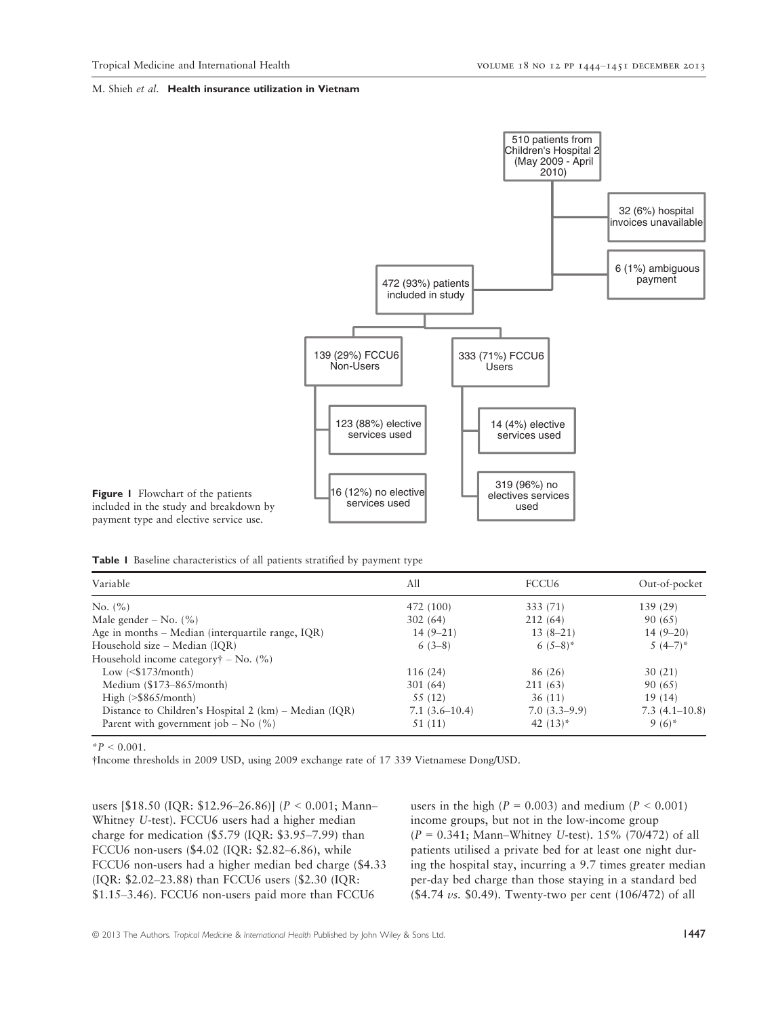

Figure 1 Flowchart of the patients included in the study and breakdown by payment type and elective service use.

Table 1 Baseline characteristics of all patients stratified by payment type

| Variable                                              | All             | FCCU <sub>6</sub> | Out-of-pocket   |
|-------------------------------------------------------|-----------------|-------------------|-----------------|
| No. $(\% )$                                           | 472 (100)       | 333 (71)          | 139(29)         |
| Male gender – No. $(\% )$                             | 302(64)         | 212(64)           | 90 (65)         |
| Age in months - Median (interquartile range, IQR)     | $14(9-21)$      | $13(8-21)$        | $14(9-20)$      |
| Household size – Median (IQR)                         | $6(3-8)$        | 6 $(5-8)$ *       | $5(4-7)^*$      |
| Household income category $\dagger$ – No. (%)         |                 |                   |                 |
| Low $($173/month)$                                    | 116(24)         | 86 (26)           | 30(21)          |
| Medium $($173–865/month)$                             | 301(64)         | 211 (63)          | 90 (65)         |
| High $(>\frac{265}{\text{month}})$                    | 55 (12)         | 36(11)            | 19(14)          |
| Distance to Children's Hospital 2 (km) – Median (IQR) | $7.1(3.6-10.4)$ | $7.0(3.3-9.9)$    | $7.3(4.1-10.8)$ |
| Parent with government job – No $(\% )$               | 51 (11)         | 42 $(13)^*$       | $9(6)^{*}$      |

 $*P < 0.001$ .

†Income thresholds in 2009 USD, using 2009 exchange rate of 17 339 Vietnamese Dong/USD.

users [\$18.50 (IQR: \$12.96–26.86)] (P < 0.001; Mann– Whitney U-test). FCCU6 users had a higher median charge for medication (\$5.79 (IQR: \$3.95–7.99) than FCCU6 non-users (\$4.02 (IQR: \$2.82–6.86), while FCCU6 non-users had a higher median bed charge (\$4.33 (IQR: \$2.02–23.88) than FCCU6 users (\$2.30 (IQR: \$1.15–3.46). FCCU6 non-users paid more than FCCU6

users in the high ( $P = 0.003$ ) and medium ( $P < 0.001$ ) income groups, but not in the low-income group  $(P = 0.341;$  Mann–Whitney U-test). 15% (70/472) of all patients utilised a private bed for at least one night during the hospital stay, incurring a 9.7 times greater median per-day bed charge than those staying in a standard bed (\$4.74  $\nu$ s. \$0.49). Twenty-two per cent (106/472) of all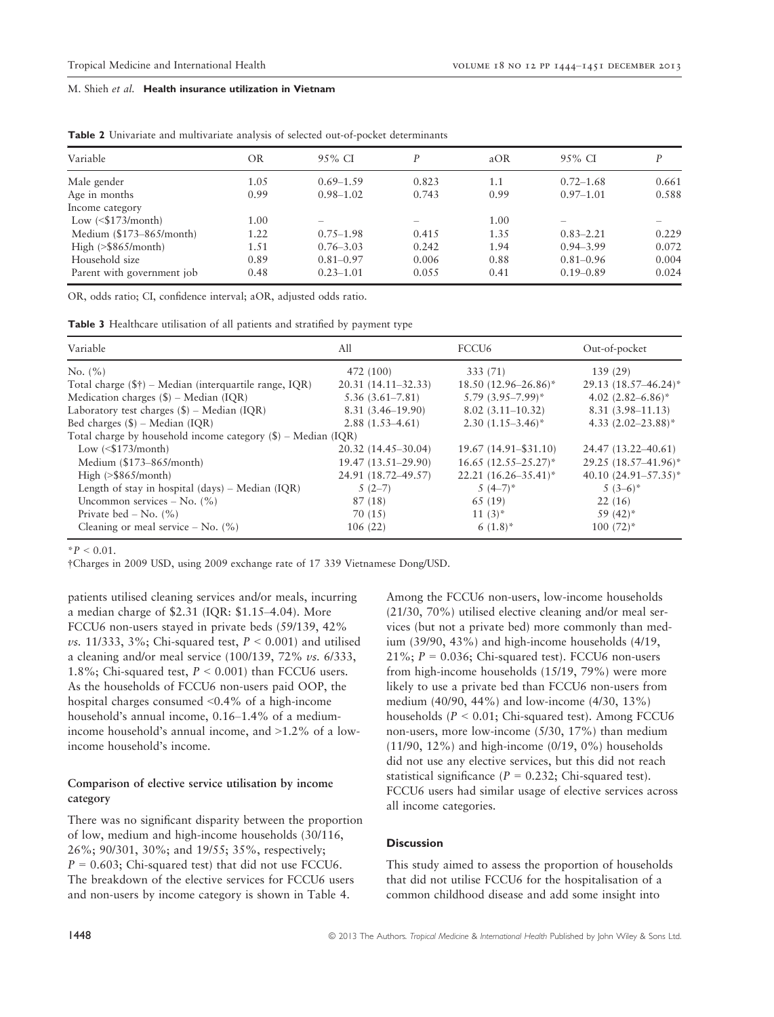| Variable                             | OR   | 95% CI        | P                        | aOR     | $95\%$ CI                | P     |
|--------------------------------------|------|---------------|--------------------------|---------|--------------------------|-------|
| Male gender                          | 1.05 | $0.69 - 1.59$ | 0.823                    | $1.1\,$ | $0.72 - 1.68$            | 0.661 |
| Age in months                        | 0.99 | $0.98 - 1.02$ | 0.743                    | 0.99    | $0.97 - 1.01$            | 0.588 |
| Income category                      |      |               |                          |         |                          |       |
| Low $($173/month)$                   | 1.00 |               | $\overline{\phantom{0}}$ | 1.00    | $\overline{\phantom{a}}$ |       |
| Medium (\$173-865/month)             | 1.22 | $0.75 - 1.98$ | 0.415                    | 1.35    | $0.83 - 2.21$            | 0.229 |
| High $(>\frac{25865}{\text{month}})$ | 1.51 | $0.76 - 3.03$ | 0.242                    | 1.94    | $0.94 - 3.99$            | 0.072 |
| Household size                       | 0.89 | $0.81 - 0.97$ | 0.006                    | 0.88    | $0.81 - 0.96$            | 0.004 |
| Parent with government job           | 0.48 | $0.23 - 1.01$ | 0.055                    | 0.41    | $0.19 - 0.89$            | 0.024 |

Table 2 Univariate and multivariate analysis of selected out-of-pocket determinants

OR, odds ratio; CI, confidence interval; aOR, adjusted odds ratio.

| <b>Table 3</b> Healthcare utilisation of all patients and stratified by payment type |  |  |  |
|--------------------------------------------------------------------------------------|--|--|--|
|--------------------------------------------------------------------------------------|--|--|--|

| Variable                                                        | All                    | FCCU <sub>6</sub>         | Out-of-pocket             |  |  |
|-----------------------------------------------------------------|------------------------|---------------------------|---------------------------|--|--|
| No. $(\% )$                                                     | 472 (100)              | 333 (71)                  | 139(29)                   |  |  |
| Total charge $(\$ \}) – Median (interquartile range, IQR)       | $20.31(14.11 - 32.33)$ | $18.50(12.96-26.86)^*$    | $29.13(18.57 - 46.24)^*$  |  |  |
| Medication charges $(\$)$ – Median (IQR)                        | $5.36(3.61 - 7.81)$    | $5.79(3.95 - 7.99)^*$     | 4.02 $(2.82 - 6.86)^*$    |  |  |
| Laboratory test charges $(\$)$ – Median (IQR)                   | $8.31(3.46 - 19.90)$   | $8.02(3.11-10.32)$        | $8.31(3.98 - 11.13)$      |  |  |
| Bed charges $(\$)$ – Median (IQR)                               | $2.88(1.53 - 4.61)$    | $2.30(1.15-3.46)^*$       | 4.33 $(2.02 - 23.88)^*$   |  |  |
| Total charge by household income category $(\$)$ – Median (IQR) |                        |                           |                           |  |  |
| Low $($173/month)$                                              | 20.32 (14.45-30.04)    | $19.67(14.91 - $31.10)$   | 24.47 (13.22–40.61)       |  |  |
| Medium $($173–865/month)$                                       | 19.47 (13.51-29.90)    | $16.65$ $(12.55-25.27)^*$ | 29.25 (18.57-41.96)*      |  |  |
| High $(>\frac{2}{3}865/month)$                                  | 24.91 (18.72-49.57)    | $22.21 (16.26 - 35.41)^*$ | 40.10 $(24.91 - 57.35)^*$ |  |  |
| Length of stay in hospital $(days)$ – Median $(IQR)$            | $5(2-7)$               | $5(4-7)^*$                | $5(3-6)^{*}$              |  |  |
| Uncommon services – No. $(\% )$                                 | 87 (18)                | 65 (19)                   | 22(16)                    |  |  |
| Private bed – No. $(\% )$                                       | 70 (15)                | $11(3)^{*}$               | $59(42)^{*}$              |  |  |
| Cleaning or meal service – No. $(\% )$                          | 106(22)                | $6(1.8)^{*}$              | $100(72)$ *               |  |  |

 $*P < 0.01$ .

†Charges in 2009 USD, using 2009 exchange rate of 17 339 Vietnamese Dong/USD.

patients utilised cleaning services and/or meals, incurring a median charge of \$2.31 (IQR: \$1.15–4.04). More FCCU6 non-users stayed in private beds (59/139, 42% vs. 11/333, 3%; Chi-squared test,  $P < 0.001$ ) and utilised a cleaning and/or meal service  $(100/139, 72\% \text{ vs. } 6/333, )$ 1.8%; Chi-squared test,  $P < 0.001$ ) than FCCU6 users. As the households of FCCU6 non-users paid OOP, the hospital charges consumed <0.4% of a high-income household's annual income, 0.16–1.4% of a mediumincome household's annual income, and >1.2% of a lowincome household's income.

# Comparison of elective service utilisation by income category

There was no significant disparity between the proportion of low, medium and high-income households (30/116, 26%; 90/301, 30%; and 19/55; 35%, respectively;  $P = 0.603$ ; Chi-squared test) that did not use FCCU6. The breakdown of the elective services for FCCU6 users and non-users by income category is shown in Table 4.

Among the FCCU6 non-users, low-income households (21/30, 70%) utilised elective cleaning and/or meal services (but not a private bed) more commonly than medium (39/90, 43%) and high-income households (4/19, 21%;  $P = 0.036$ ; Chi-squared test). FCCU6 non-users from high-income households (15/19, 79%) were more likely to use a private bed than FCCU6 non-users from medium (40/90, 44%) and low-income (4/30, 13%) households ( $P < 0.01$ ; Chi-squared test). Among FCCU6 non-users, more low-income (5/30, 17%) than medium (11/90, 12%) and high-income (0/19, 0%) households did not use any elective services, but this did not reach statistical significance ( $P = 0.232$ ; Chi-squared test). FCCU6 users had similar usage of elective services across all income categories.

# **Discussion**

This study aimed to assess the proportion of households that did not utilise FCCU6 for the hospitalisation of a common childhood disease and add some insight into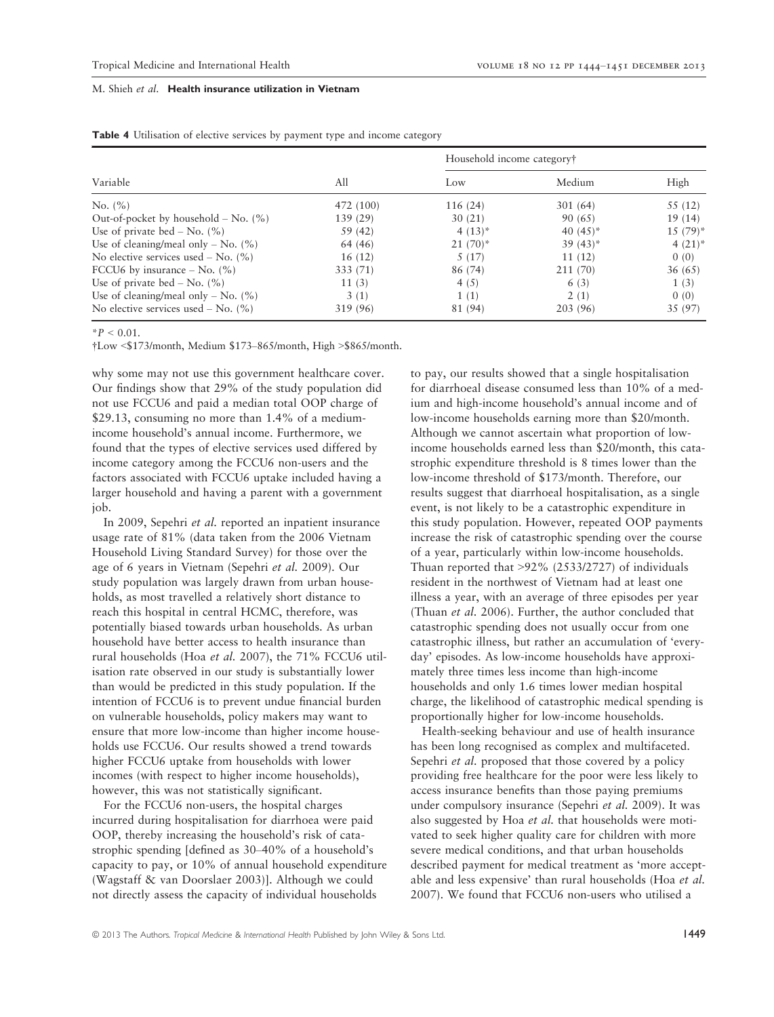| Variable                                  | All       | Household income category† |              |             |  |
|-------------------------------------------|-----------|----------------------------|--------------|-------------|--|
|                                           |           | Low                        | Medium       | High        |  |
| No. (%)                                   | 472 (100) | 116 (24)                   | 301(64)      | 55 (12)     |  |
| Out-of-pocket by household $-$ No. $(\%)$ | 139 (29)  | 30(21)                     | 90 (65)      | 19(14)      |  |
| Use of private bed – No. $(\% )$          | 59 (42)   | 4 $(13)^*$                 | 40 $(45)^*$  | $15(79)^*$  |  |
| Use of cleaning/meal only – No. $(\% )$   | 64 (46)   | $21(70)$ *                 | $39(43)^{*}$ | $4(21)^{*}$ |  |
| No elective services used – No. $(\% )$   | 16(12)    | 5(17)                      | 11(12)       | 0(0)        |  |
| FCCU6 by insurance $-$ No. $(\%)$         | 333 (71)  | 86 (74)                    | 211 (70)     | 36(65)      |  |
| Use of private bed – No. $(\% )$          | 11(3)     | 4(5)                       | 6(3)         | 1(3)        |  |
| Use of cleaning/meal only – No. $(\% )$   | 3(1)      | 1(1)                       | 2(1)         | 0(0)        |  |
| No elective services used – No. $(\% )$   | 319 (96)  | 81 (94)                    | 203 (96)     | 35 (97)     |  |

Table 4 Utilisation of elective services by payment type and income category

 $*P < 0.01$ .

†Low <\$173/month, Medium \$173–865/month, High >\$865/month.

why some may not use this government healthcare cover. Our findings show that 29% of the study population did not use FCCU6 and paid a median total OOP charge of \$29.13, consuming no more than 1.4% of a mediumincome household's annual income. Furthermore, we found that the types of elective services used differed by income category among the FCCU6 non-users and the factors associated with FCCU6 uptake included having a larger household and having a parent with a government job.

In 2009, Sepehri et al. reported an inpatient insurance usage rate of 81% (data taken from the 2006 Vietnam Household Living Standard Survey) for those over the age of 6 years in Vietnam (Sepehri et al. 2009). Our study population was largely drawn from urban households, as most travelled a relatively short distance to reach this hospital in central HCMC, therefore, was potentially biased towards urban households. As urban household have better access to health insurance than rural households (Hoa et al. 2007), the 71% FCCU6 utilisation rate observed in our study is substantially lower than would be predicted in this study population. If the intention of FCCU6 is to prevent undue financial burden on vulnerable households, policy makers may want to ensure that more low-income than higher income households use FCCU6. Our results showed a trend towards higher FCCU6 uptake from households with lower incomes (with respect to higher income households), however, this was not statistically significant.

For the FCCU6 non-users, the hospital charges incurred during hospitalisation for diarrhoea were paid OOP, thereby increasing the household's risk of catastrophic spending [defined as 30–40% of a household's capacity to pay, or 10% of annual household expenditure (Wagstaff & van Doorslaer 2003)]. Although we could not directly assess the capacity of individual households

to pay, our results showed that a single hospitalisation for diarrhoeal disease consumed less than 10% of a medium and high-income household's annual income and of low-income households earning more than \$20/month. Although we cannot ascertain what proportion of lowincome households earned less than \$20/month, this catastrophic expenditure threshold is 8 times lower than the low-income threshold of \$173/month. Therefore, our results suggest that diarrhoeal hospitalisation, as a single event, is not likely to be a catastrophic expenditure in this study population. However, repeated OOP payments increase the risk of catastrophic spending over the course of a year, particularly within low-income households. Thuan reported that >92% (2533/2727) of individuals resident in the northwest of Vietnam had at least one illness a year, with an average of three episodes per year (Thuan et al. 2006). Further, the author concluded that catastrophic spending does not usually occur from one catastrophic illness, but rather an accumulation of 'everyday' episodes. As low-income households have approximately three times less income than high-income households and only 1.6 times lower median hospital charge, the likelihood of catastrophic medical spending is proportionally higher for low-income households.

Health-seeking behaviour and use of health insurance has been long recognised as complex and multifaceted. Sepehri et al. proposed that those covered by a policy providing free healthcare for the poor were less likely to access insurance benefits than those paying premiums under compulsory insurance (Sepehri et al. 2009). It was also suggested by Hoa et al. that households were motivated to seek higher quality care for children with more severe medical conditions, and that urban households described payment for medical treatment as 'more acceptable and less expensive' than rural households (Hoa et al. 2007). We found that FCCU6 non-users who utilised a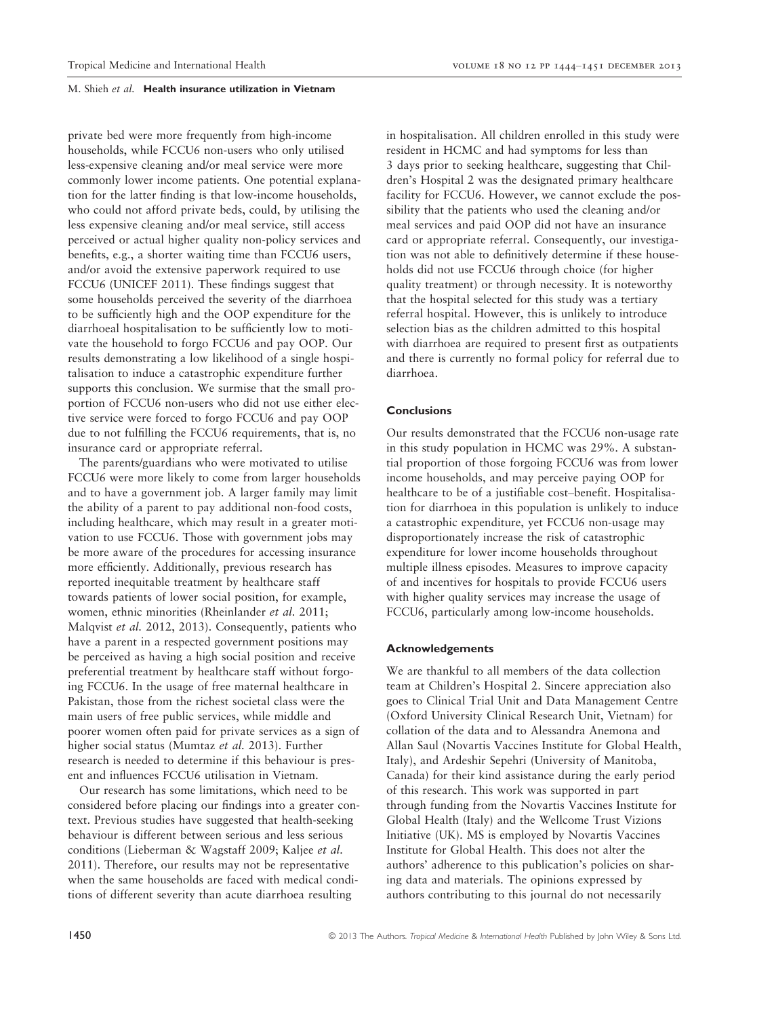private bed were more frequently from high-income households, while FCCU6 non-users who only utilised less-expensive cleaning and/or meal service were more commonly lower income patients. One potential explanation for the latter finding is that low-income households, who could not afford private beds, could, by utilising the less expensive cleaning and/or meal service, still access perceived or actual higher quality non-policy services and benefits, e.g., a shorter waiting time than FCCU6 users, and/or avoid the extensive paperwork required to use FCCU6 (UNICEF 2011). These findings suggest that some households perceived the severity of the diarrhoea to be sufficiently high and the OOP expenditure for the diarrhoeal hospitalisation to be sufficiently low to motivate the household to forgo FCCU6 and pay OOP. Our results demonstrating a low likelihood of a single hospitalisation to induce a catastrophic expenditure further supports this conclusion. We surmise that the small proportion of FCCU6 non-users who did not use either elective service were forced to forgo FCCU6 and pay OOP due to not fulfilling the FCCU6 requirements, that is, no insurance card or appropriate referral.

The parents/guardians who were motivated to utilise FCCU6 were more likely to come from larger households and to have a government job. A larger family may limit the ability of a parent to pay additional non-food costs, including healthcare, which may result in a greater motivation to use FCCU6. Those with government jobs may be more aware of the procedures for accessing insurance more efficiently. Additionally, previous research has reported inequitable treatment by healthcare staff towards patients of lower social position, for example, women, ethnic minorities (Rheinlander et al. 2011; Malqvist et al. 2012, 2013). Consequently, patients who have a parent in a respected government positions may be perceived as having a high social position and receive preferential treatment by healthcare staff without forgoing FCCU6. In the usage of free maternal healthcare in Pakistan, those from the richest societal class were the main users of free public services, while middle and poorer women often paid for private services as a sign of higher social status (Mumtaz et al. 2013). Further research is needed to determine if this behaviour is present and influences FCCU6 utilisation in Vietnam.

Our research has some limitations, which need to be considered before placing our findings into a greater context. Previous studies have suggested that health-seeking behaviour is different between serious and less serious conditions (Lieberman & Wagstaff 2009; Kaljee et al. 2011). Therefore, our results may not be representative when the same households are faced with medical conditions of different severity than acute diarrhoea resulting

in hospitalisation. All children enrolled in this study were resident in HCMC and had symptoms for less than 3 days prior to seeking healthcare, suggesting that Children's Hospital 2 was the designated primary healthcare facility for FCCU6. However, we cannot exclude the possibility that the patients who used the cleaning and/or meal services and paid OOP did not have an insurance card or appropriate referral. Consequently, our investigation was not able to definitively determine if these households did not use FCCU6 through choice (for higher quality treatment) or through necessity. It is noteworthy that the hospital selected for this study was a tertiary referral hospital. However, this is unlikely to introduce selection bias as the children admitted to this hospital with diarrhoea are required to present first as outpatients and there is currently no formal policy for referral due to diarrhoea.

# **Conclusions**

Our results demonstrated that the FCCU6 non-usage rate in this study population in HCMC was 29%. A substantial proportion of those forgoing FCCU6 was from lower income households, and may perceive paying OOP for healthcare to be of a justifiable cost–benefit. Hospitalisation for diarrhoea in this population is unlikely to induce a catastrophic expenditure, yet FCCU6 non-usage may disproportionately increase the risk of catastrophic expenditure for lower income households throughout multiple illness episodes. Measures to improve capacity of and incentives for hospitals to provide FCCU6 users with higher quality services may increase the usage of FCCU6, particularly among low-income households.

#### Acknowledgements

We are thankful to all members of the data collection team at Children's Hospital 2. Sincere appreciation also goes to Clinical Trial Unit and Data Management Centre (Oxford University Clinical Research Unit, Vietnam) for collation of the data and to Alessandra Anemona and Allan Saul (Novartis Vaccines Institute for Global Health, Italy), and Ardeshir Sepehri (University of Manitoba, Canada) for their kind assistance during the early period of this research. This work was supported in part through funding from the Novartis Vaccines Institute for Global Health (Italy) and the Wellcome Trust Vizions Initiative (UK). MS is employed by Novartis Vaccines Institute for Global Health. This does not alter the authors' adherence to this publication's policies on sharing data and materials. The opinions expressed by authors contributing to this journal do not necessarily